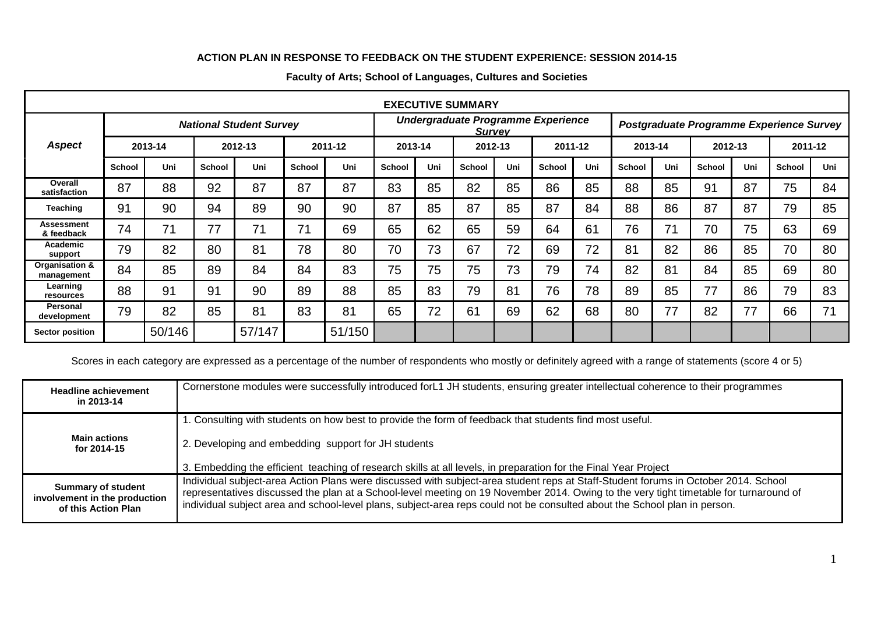## **ACTION PLAN IN RESPONSE TO FEEDBACK ON THE STUDENT EXPERIENCE: SESSION 2014-15**

| <b>EXECUTIVE SUMMARY</b>        |                                |        |               |        |               |                                                     |               |         |               |         |                                          |         |               |         |        |         |               |         |  |
|---------------------------------|--------------------------------|--------|---------------|--------|---------------|-----------------------------------------------------|---------------|---------|---------------|---------|------------------------------------------|---------|---------------|---------|--------|---------|---------------|---------|--|
|                                 | <b>National Student Survey</b> |        |               |        |               | Undergraduate Programme Experience<br><b>Survey</b> |               |         |               |         | Postgraduate Programme Experience Survey |         |               |         |        |         |               |         |  |
| <b>Aspect</b>                   | 2013-14                        |        | 2012-13       |        |               | 2011-12                                             |               | 2013-14 |               | 2012-13 |                                          | 2011-12 |               | 2013-14 |        | 2012-13 |               | 2011-12 |  |
|                                 | <b>School</b>                  | Uni    | <b>School</b> | Uni    | <b>School</b> | Uni                                                 | <b>School</b> | Uni     | <b>School</b> | Uni     | <b>School</b>                            | Uni     | <b>School</b> | Uni     | School | Uni     | <b>School</b> | Uni     |  |
| Overall<br>satisfaction         | 87                             | 88     | 92            | 87     | 87            | 87                                                  | 83            | 85      | 82            | 85      | 86                                       | 85      | 88            | 85      | 91     | 87      | 75            | 84      |  |
| <b>Teaching</b>                 | 91                             | 90     | 94            | 89     | 90            | 90                                                  | 87            | 85      | 87            | 85      | 87                                       | 84      | 88            | 86      | 87     | 87      | 79            | 85      |  |
| <b>Assessment</b><br>& feedback | 74                             | 71     | 77            | 71     | 71            | 69                                                  | 65            | 62      | 65            | 59      | 64                                       | 61      | 76            | 71      | 70     | 75      | 63            | 69      |  |
| Academic<br>support             | 79                             | 82     | 80            | 81     | 78            | 80                                                  | 70            | 73      | 67            | 72      | 69                                       | 72      | 81            | 82      | 86     | 85      | 70            | 80      |  |
| Organisation &<br>management    | 84                             | 85     | 89            | 84     | 84            | 83                                                  | 75            | 75      | 75            | 73      | 79                                       | 74      | 82            | 81      | 84     | 85      | 69            | 80      |  |
| Learning<br>resources           | 88                             | 91     | 91            | 90     | 89            | 88                                                  | 85            | 83      | 79            | 81      | 76                                       | 78      | 89            | 85      | 77     | 86      | 79            | 83      |  |
| <b>Personal</b><br>development  | 79                             | 82     | 85            | 81     | 83            | 81                                                  | 65            | 72      | 61            | 69      | 62                                       | 68      | 80            | 77      | 82     | 77      | 66            | 71      |  |
| <b>Sector position</b>          |                                | 50/146 |               | 57/147 |               | 51/150                                              |               |         |               |         |                                          |         |               |         |        |         |               |         |  |

## **Faculty of Arts; School of Languages, Cultures and Societies**

Scores in each category are expressed as a percentage of the number of respondents who mostly or definitely agreed with a range of statements (score 4 or 5)

| <b>Headline achievement</b><br>in 2013-14                                         | Cornerstone modules were successfully introduced forL1 JH students, ensuring greater intellectual coherence to their programmes                                                                                                                                                                                                                                                                          |
|-----------------------------------------------------------------------------------|----------------------------------------------------------------------------------------------------------------------------------------------------------------------------------------------------------------------------------------------------------------------------------------------------------------------------------------------------------------------------------------------------------|
|                                                                                   | 1. Consulting with students on how best to provide the form of feedback that students find most useful.                                                                                                                                                                                                                                                                                                  |
| <b>Main actions</b><br>for 2014-15                                                | 2. Developing and embedding support for JH students                                                                                                                                                                                                                                                                                                                                                      |
|                                                                                   | 3. Embedding the efficient teaching of research skills at all levels, in preparation for the Final Year Project                                                                                                                                                                                                                                                                                          |
| <b>Summary of student</b><br>involvement in the production<br>of this Action Plan | Individual subject-area Action Plans were discussed with subject-area student reps at Staff-Student forums in October 2014. School<br>representatives discussed the plan at a School-level meeting on 19 November 2014. Owing to the very tight timetable for turnaround of<br>individual subject area and school-level plans, subject-area reps could not be consulted about the School plan in person. |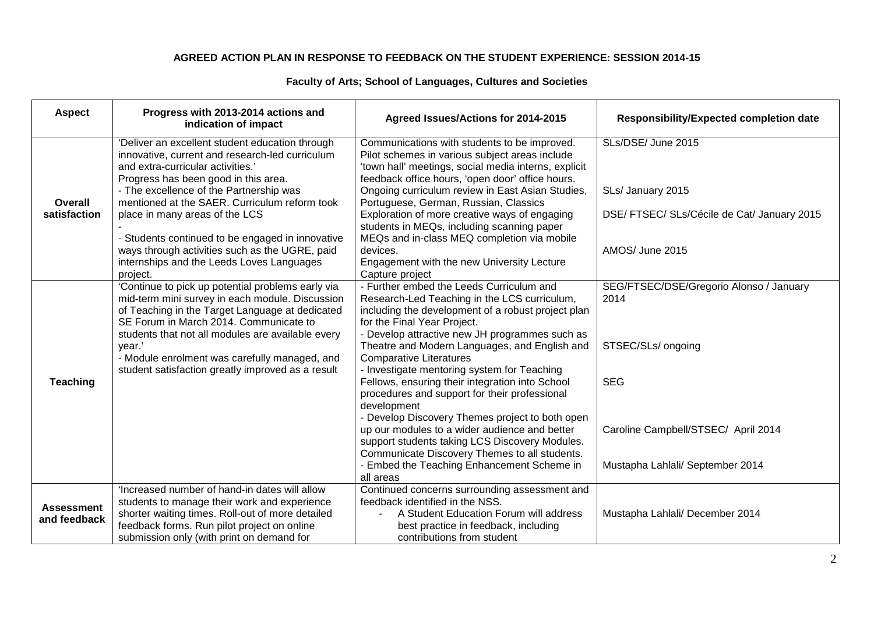## **AGREED ACTION PLAN IN RESPONSE TO FEEDBACK ON THE STUDENT EXPERIENCE: SESSION 2014-15**

## **Faculty of Arts; School of Languages, Cultures and Societies**

| <b>Aspect</b>                     | Progress with 2013-2014 actions and<br>indication of impact                                                                                                                                                                                                                                                                                                                                                                                                      | Agreed Issues/Actions for 2014-2015                                                                                                                                                                                                                                                                                                                                                                                                                                                                                                                                                                                                                                                                                                                                     | <b>Responsibility/Expected completion date</b>                                                                                                                 |
|-----------------------------------|------------------------------------------------------------------------------------------------------------------------------------------------------------------------------------------------------------------------------------------------------------------------------------------------------------------------------------------------------------------------------------------------------------------------------------------------------------------|-------------------------------------------------------------------------------------------------------------------------------------------------------------------------------------------------------------------------------------------------------------------------------------------------------------------------------------------------------------------------------------------------------------------------------------------------------------------------------------------------------------------------------------------------------------------------------------------------------------------------------------------------------------------------------------------------------------------------------------------------------------------------|----------------------------------------------------------------------------------------------------------------------------------------------------------------|
| <b>Overall</b><br>satisfaction    | 'Deliver an excellent student education through<br>innovative, current and research-led curriculum<br>and extra-curricular activities.'<br>Progress has been good in this area.<br>- The excellence of the Partnership was<br>mentioned at the SAER. Curriculum reform took<br>place in many areas of the LCS<br>- Students continued to be engaged in innovative<br>ways through activities such as the UGRE, paid<br>internships and the Leeds Loves Languages | Communications with students to be improved.<br>Pilot schemes in various subject areas include<br>'town hall' meetings, social media interns, explicit<br>feedback office hours, 'open door' office hours.<br>Ongoing curriculum review in East Asian Studies,<br>Portuguese, German, Russian, Classics<br>Exploration of more creative ways of engaging<br>students in MEQs, including scanning paper<br>MEQs and in-class MEQ completion via mobile<br>devices.<br>Engagement with the new University Lecture                                                                                                                                                                                                                                                         | SLs/DSE/ June 2015<br>SLs/ January 2015<br>DSE/ FTSEC/ SLs/Cécile de Cat/ January 2015<br>AMOS/ June 2015                                                      |
| <b>Teaching</b>                   | project.<br>'Continue to pick up potential problems early via<br>mid-term mini survey in each module. Discussion<br>of Teaching in the Target Language at dedicated<br>SE Forum in March 2014. Communicate to<br>students that not all modules are available every<br>year.'<br>- Module enrolment was carefully managed, and<br>student satisfaction greatly improved as a result                                                                               | Capture project<br>- Further embed the Leeds Curriculum and<br>Research-Led Teaching in the LCS curriculum,<br>including the development of a robust project plan<br>for the Final Year Project.<br>- Develop attractive new JH programmes such as<br>Theatre and Modern Languages, and English and<br><b>Comparative Literatures</b><br>- Investigate mentoring system for Teaching<br>Fellows, ensuring their integration into School<br>procedures and support for their professional<br>development<br>- Develop Discovery Themes project to both open<br>up our modules to a wider audience and better<br>support students taking LCS Discovery Modules.<br>Communicate Discovery Themes to all students.<br>Embed the Teaching Enhancement Scheme in<br>all areas | SEG/FTSEC/DSE/Gregorio Alonso / January<br>2014<br>STSEC/SLs/ ongoing<br><b>SEG</b><br>Caroline Campbell/STSEC/ April 2014<br>Mustapha Lahlali/ September 2014 |
| <b>Assessment</b><br>and feedback | 'Increased number of hand-in dates will allow<br>students to manage their work and experience<br>shorter waiting times. Roll-out of more detailed<br>feedback forms. Run pilot project on online<br>submission only (with print on demand for                                                                                                                                                                                                                    | Continued concerns surrounding assessment and<br>feedback identified in the NSS.<br>A Student Education Forum will address<br>best practice in feedback, including<br>contributions from student                                                                                                                                                                                                                                                                                                                                                                                                                                                                                                                                                                        | Mustapha Lahlali/ December 2014                                                                                                                                |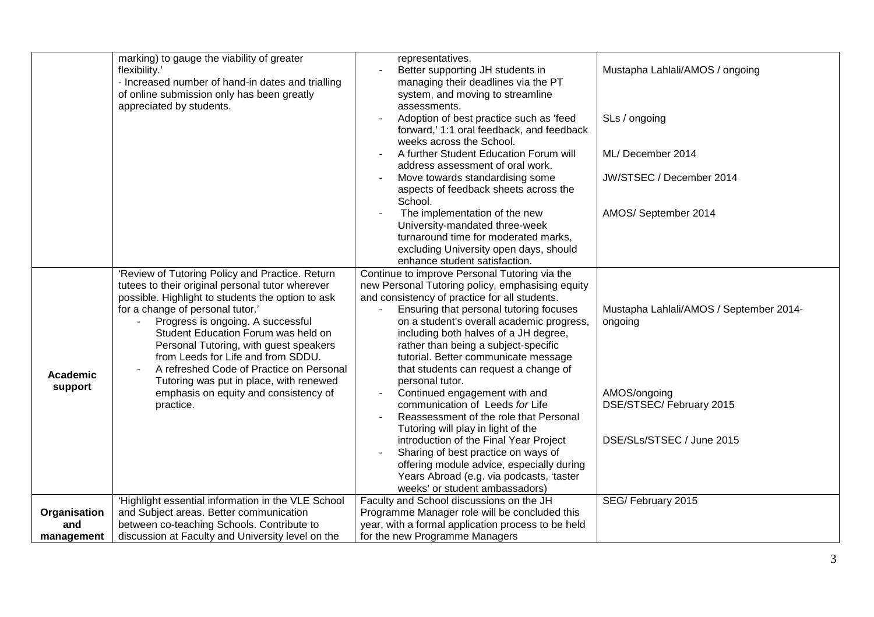|                            | marking) to gauge the viability of greater<br>flexibility.'<br>- Increased number of hand-in dates and trialling<br>of online submission only has been greatly<br>appreciated by students.                                                                                                                                                                                                                                                                                                            | representatives.<br>Better supporting JH students in<br>managing their deadlines via the PT<br>system, and moving to streamline<br>assessments.<br>Adoption of best practice such as 'feed<br>forward,' 1:1 oral feedback, and feedback<br>weeks across the School.<br>A further Student Education Forum will<br>address assessment of oral work.<br>Move towards standardising some<br>$\overline{\phantom{a}}$<br>aspects of feedback sheets across the                                                                                                                                                                                                                                                                                                                                       | Mustapha Lahlali/AMOS / ongoing<br>SLs / ongoing<br>ML/ December 2014<br>JW/STSEC / December 2014                           |
|----------------------------|-------------------------------------------------------------------------------------------------------------------------------------------------------------------------------------------------------------------------------------------------------------------------------------------------------------------------------------------------------------------------------------------------------------------------------------------------------------------------------------------------------|-------------------------------------------------------------------------------------------------------------------------------------------------------------------------------------------------------------------------------------------------------------------------------------------------------------------------------------------------------------------------------------------------------------------------------------------------------------------------------------------------------------------------------------------------------------------------------------------------------------------------------------------------------------------------------------------------------------------------------------------------------------------------------------------------|-----------------------------------------------------------------------------------------------------------------------------|
|                            |                                                                                                                                                                                                                                                                                                                                                                                                                                                                                                       | School.<br>The implementation of the new<br>University-mandated three-week<br>turnaround time for moderated marks,<br>excluding University open days, should<br>enhance student satisfaction.                                                                                                                                                                                                                                                                                                                                                                                                                                                                                                                                                                                                   | AMOS/September 2014                                                                                                         |
| <b>Academic</b><br>support | 'Review of Tutoring Policy and Practice. Return<br>tutees to their original personal tutor wherever<br>possible. Highlight to students the option to ask<br>for a change of personal tutor.'<br>Progress is ongoing. A successful<br>Student Education Forum was held on<br>Personal Tutoring, with guest speakers<br>from Leeds for Life and from SDDU.<br>A refreshed Code of Practice on Personal<br>Tutoring was put in place, with renewed<br>emphasis on equity and consistency of<br>practice. | Continue to improve Personal Tutoring via the<br>new Personal Tutoring policy, emphasising equity<br>and consistency of practice for all students.<br>Ensuring that personal tutoring focuses<br>on a student's overall academic progress,<br>including both halves of a JH degree,<br>rather than being a subject-specific<br>tutorial. Better communicate message<br>that students can request a change of<br>personal tutor.<br>Continued engagement with and<br>communication of Leeds for Life<br>Reassessment of the role that Personal<br>Tutoring will play in light of the<br>introduction of the Final Year Project<br>Sharing of best practice on ways of<br>offering module advice, especially during<br>Years Abroad (e.g. via podcasts, 'taster<br>weeks' or student ambassadors) | Mustapha Lahlali/AMOS / September 2014-<br>ongoing<br>AMOS/ongoing<br>DSE/STSEC/ February 2015<br>DSE/SLs/STSEC / June 2015 |
| Organisation               | 'Highlight essential information in the VLE School<br>and Subject areas. Better communication                                                                                                                                                                                                                                                                                                                                                                                                         | Faculty and School discussions on the JH<br>Programme Manager role will be concluded this                                                                                                                                                                                                                                                                                                                                                                                                                                                                                                                                                                                                                                                                                                       | SEG/February 2015                                                                                                           |
| and<br>management          | between co-teaching Schools. Contribute to<br>discussion at Faculty and University level on the                                                                                                                                                                                                                                                                                                                                                                                                       | year, with a formal application process to be held<br>for the new Programme Managers                                                                                                                                                                                                                                                                                                                                                                                                                                                                                                                                                                                                                                                                                                            |                                                                                                                             |